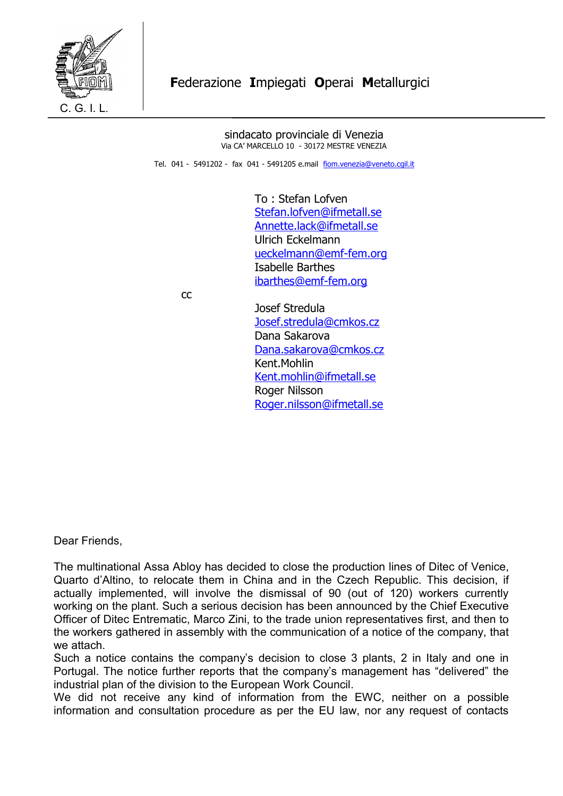

 sindacato provinciale di Venezia Via CA' MARCELLO 10 - 30172 MESTRE VENEZIA

Tel. 041 - 5491202 - fax 041 - 5491205 e.mail [fiom.venezia@veneto.cgil.it](mailto:fiom.venezia@veneto.cgil.it)

To : Stefan Lofven [Stefan.lofven@ifmetall.se](mailto:Stefan.lofven@ifmetall.se) [Annette.lack@ifmetall.se](mailto:Annette.lack@ifmetall.se) Ulrich Eckelmann [ueckelmann@emf-fem.org](mailto:ueckelmann@emf-fem.org) Isabelle Barthes [ibarthes@emf-fem.org](mailto:ibarthes@emf-fem.org)

contract the contract of the contract of the contract of the contract of the contract of the contract of the contract of the contract of the contract of the contract of the contract of the contract of the contract of the c

Josef Stredula [Josef.stredula@cmkos.cz](mailto:Josef.stredula@cmkos.cz) Dana Sakarova [Dana.sakarova@cmkos.cz](mailto:Dana.sakarova@cmkos.cz) Kent.Mohlin [Kent.mohlin@ifmetall.se](mailto:Kent.mohlin@ifmetall.se) Roger Nilsson [Roger.nilsson@ifmetall.se](mailto:Roger.nilsson@ifmetall.se)

Dear Friends,

The multinational Assa Abloy has decided to close the production lines of Ditec of Venice, Quarto d'Altino, to relocate them in China and in the Czech Republic. This decision, if actually implemented, will involve the dismissal of 90 (out of 120) workers currently working on the plant. Such a serious decision has been announced by the Chief Executive Officer of Ditec Entrematic, Marco Zini, to the trade union representatives first, and then to the workers gathered in assembly with the communication of a notice of the company, that we attach.

Such a notice contains the company's decision to close 3 plants, 2 in Italy and one in Portugal. The notice further reports that the company's management has "delivered" the industrial plan of the division to the European Work Council.

We did not receive any kind of information from the EWC, neither on a possible information and consultation procedure as per the EU law, nor any request of contacts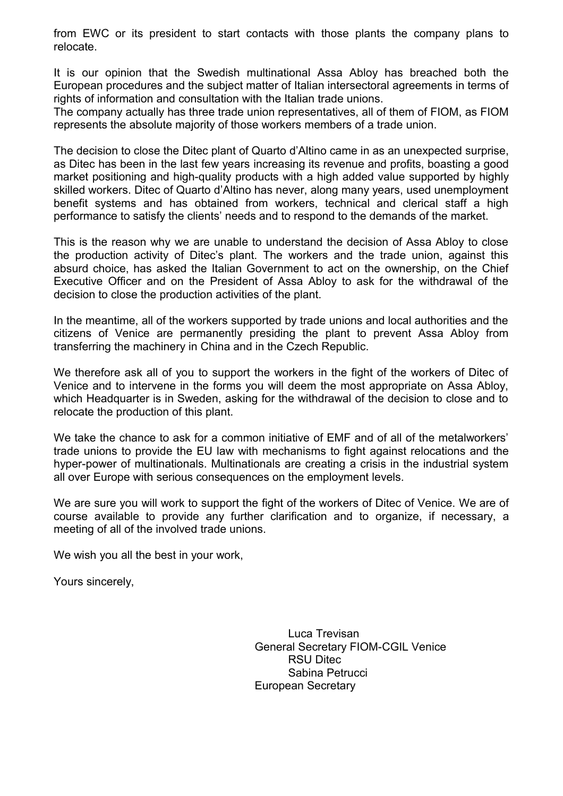from EWC or its president to start contacts with those plants the company plans to relocate.

It is our opinion that the Swedish multinational Assa Abloy has breached both the European procedures and the subject matter of Italian intersectoral agreements in terms of rights of information and consultation with the Italian trade unions.

The company actually has three trade union representatives, all of them of FIOM, as FIOM represents the absolute majority of those workers members of a trade union.

The decision to close the Ditec plant of Quarto d'Altino came in as an unexpected surprise, as Ditec has been in the last few years increasing its revenue and profits, boasting a good market positioning and high-quality products with a high added value supported by highly skilled workers. Ditec of Quarto d'Altino has never, along many years, used unemployment benefit systems and has obtained from workers, technical and clerical staff a high performance to satisfy the clients' needs and to respond to the demands of the market.

This is the reason why we are unable to understand the decision of Assa Abloy to close the production activity of Ditec's plant. The workers and the trade union, against this absurd choice, has asked the Italian Government to act on the ownership, on the Chief Executive Officer and on the President of Assa Abloy to ask for the withdrawal of the decision to close the production activities of the plant.

In the meantime, all of the workers supported by trade unions and local authorities and the citizens of Venice are permanently presiding the plant to prevent Assa Abloy from transferring the machinery in China and in the Czech Republic.

We therefore ask all of you to support the workers in the fight of the workers of Ditec of Venice and to intervene in the forms you will deem the most appropriate on Assa Abloy, which Headquarter is in Sweden, asking for the withdrawal of the decision to close and to relocate the production of this plant.

We take the chance to ask for a common initiative of EMF and of all of the metalworkers' trade unions to provide the EU law with mechanisms to fight against relocations and the hyper-power of multinationals. Multinationals are creating a crisis in the industrial system all over Europe with serious consequences on the employment levels.

We are sure you will work to support the fight of the workers of Ditec of Venice. We are of course available to provide any further clarification and to organize, if necessary, a meeting of all of the involved trade unions.

We wish you all the best in your work,

Yours sincerely,

Luca Trevisan General Secretary FIOM-CGIL Venice RSU Ditec Sabina Petrucci European Secretary